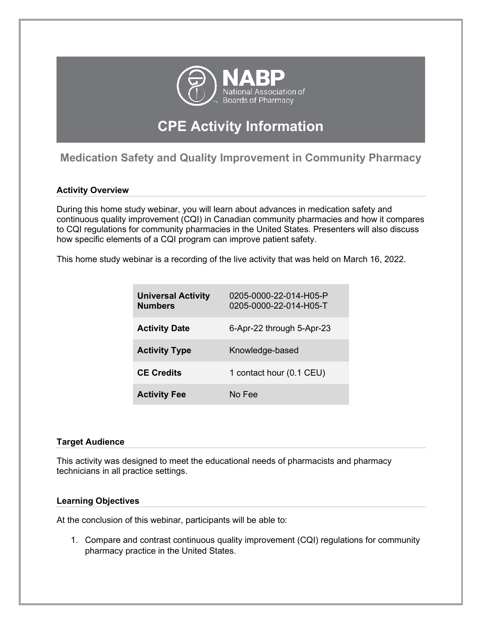

# **CPE Activity Information**

# **Medication Safety and Quality Improvement in Community Pharmacy**

## **Activity Overview**

During this home study webinar, you will learn about advances in medication safety and continuous quality improvement (CQI) in Canadian community pharmacies and how it compares to CQI regulations for community pharmacies in the United States. Presenters will also discuss how specific elements of a CQI program can improve patient safety.

This home study webinar is a recording of the live activity that was held on March 16, 2022.

| <b>Universal Activity</b><br><b>Numbers</b> | 0205-0000-22-014-H05-P<br>0205-0000-22-014-H05-T |
|---------------------------------------------|--------------------------------------------------|
| <b>Activity Date</b>                        | 6-Apr-22 through 5-Apr-23                        |
| <b>Activity Type</b>                        | Knowledge-based                                  |
| <b>CE Credits</b>                           | 1 contact hour (0.1 CEU)                         |
| <b>Activity Fee</b>                         | No Fee                                           |

#### **Target Audience**

This activity was designed to meet the educational needs of pharmacists and pharmacy technicians in all practice settings.

#### **Learning Objectives**

At the conclusion of this webinar, participants will be able to:

1. Compare and contrast continuous quality improvement (CQI) regulations for community pharmacy practice in the United States.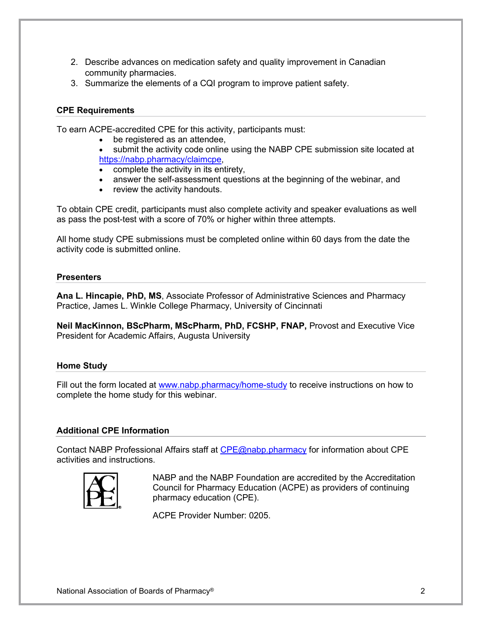- 2. Describe advances on medication safety and quality improvement in Canadian community pharmacies.
- 3. Summarize the elements of a CQI program to improve patient safety.

#### **CPE Requirements**

To earn ACPE-accredited CPE for this activity, participants must:

- be registered as an attendee,
- submit the activity code online using the NABP CPE submission site located at <https://nabp.pharmacy/claimcpe>,
- complete the activity in its entirety,
- answer the self-assessment questions at the beginning of the webinar, and
- review the activity handouts.

To obtain CPE credit, participants must also complete activity and speaker evaluations as well as pass the post-test with a score of 70% or higher within three attempts. 

All home study CPE submissions must be completed online within 60 days from the date the activity code is submitted online.  

#### **Presenters**

**Ana L. Hincapie, PhD, MS**, Associate Professor of Administrative Sciences and Pharmacy Practice, James L. Winkle College Pharmacy, University of Cincinnati

**Neil MacKinnon, BScPharm, MScPharm, PhD, FCSHP, FNAP,** Provost and Executive Vice President for Academic Affairs, Augusta University

#### **Home Study**

Fill out the form located at [www.nabp.pharmacy/home-study](http://www.nabp.pharmacy/home-study) to receive instructions on how to complete the home study for this webinar. 

#### **Additional CPE Information**

Contact NABP Professional Affairs staff at [CPE@nabp.pharmacy](mailto:CPE@nabp.pharmacy) for information about CPE activities and instructions.



NABP and the NABP Foundation are accredited by the Accreditation Council for Pharmacy Education (ACPE) as providers of continuing pharmacy education (CPE).

ACPE Provider Number: 0205.